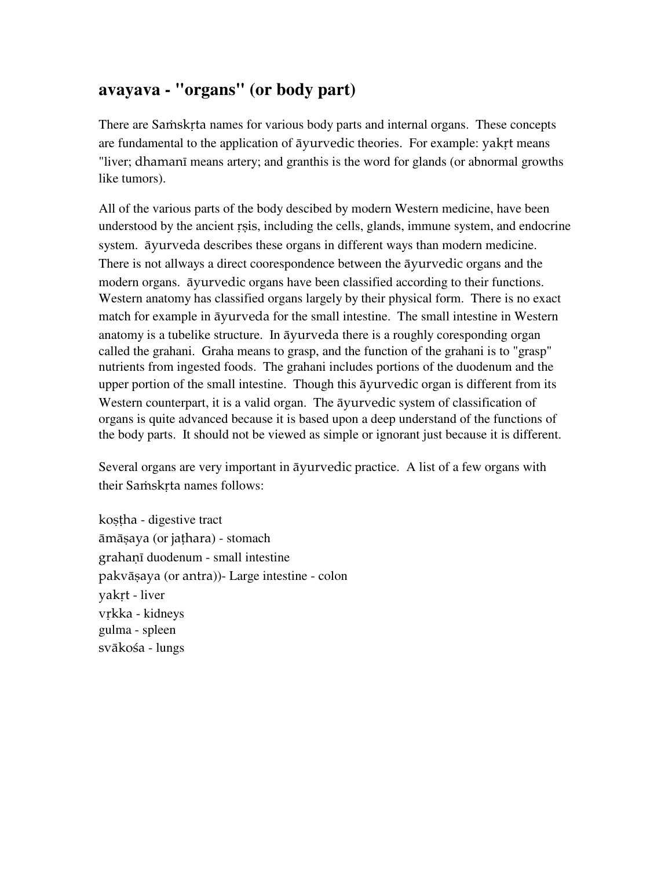## **avayava - "organs" (or body part)**

There are Samskrta names for various body parts and internal organs. These concepts are fundamental to the application of  $\bar{a}$ yurvedic theories. For example: yakrt means "liver; dhamani means artery; and granthis is the word for glands (or abnormal growths like tumors).

All of the various parts of the body descibed by modern Western medicine, have been understood by the ancient rsis, including the cells, glands, immune system, and endocrine system. äyurveda describes these organs in different ways than modern medicine. There is not allways a direct coorespondence between the äyurvedic organs and the modern organs. äyurvedic organs have been classified according to their functions. Western anatomy has classified organs largely by their physical form. There is no exact match for example in äyurveda for the small intestine. The small intestine in Western anatomy is a tubelike structure. In äyurveda there is a roughly coresponding organ called the grahani. Graha means to grasp, and the function of the grahani is to "grasp" nutrients from ingested foods. The grahani includes portions of the duodenum and the upper portion of the small intestine. Though this äyurvedic organ is different from its Western counterpart, it is a valid organ. The äyurvedic system of classification of organs is quite advanced because it is based upon a deep understand of the functions of the body parts. It should not be viewed as simple or ignorant just because it is different.

Several organs are very important in äyurvedic practice. A list of a few organs with their Samskrta names follows:

kostha - digestive tract āmāṣaya (or jaṭhara) - stomach grahanī duodenum - small intestine pakvāṣaya (or antra))- Large intestine - colon yakrt - liver vrkka - kidneys gulma - spleen svākośa - lungs